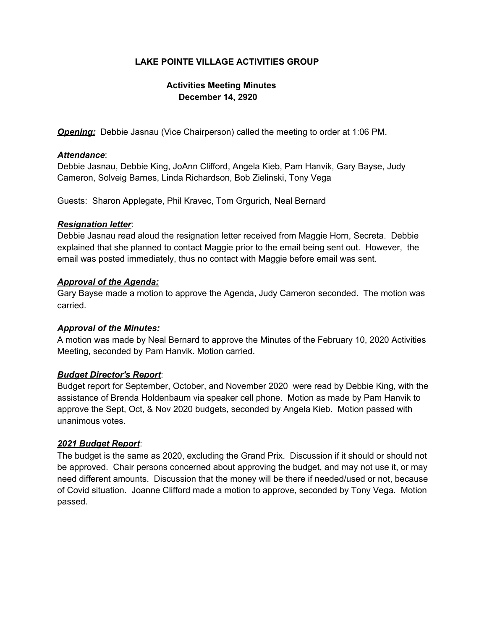# **LAKE POINTE VILLAGE ACTIVITIES GROUP**

# **Activities Meeting Minutes December 14, 2920**

*Opening:* Debbie Jasnau (Vice Chairperson) called the meeting to order at 1:06 PM.

### *Attendance*:

Debbie Jasnau, Debbie King, JoAnn Clifford, Angela Kieb, Pam Hanvik, Gary Bayse, Judy Cameron, Solveig Barnes, Linda Richardson, Bob Zielinski, Tony Vega

Guests: Sharon Applegate, Phil Kravec, Tom Grgurich, Neal Bernard

### *Resignation letter*:

Debbie Jasnau read aloud the resignation letter received from Maggie Horn, Secreta. Debbie explained that she planned to contact Maggie prior to the email being sent out. However, the email was posted immediately, thus no contact with Maggie before email was sent.

### *Approval of the Agenda:*

Gary Bayse made a motion to approve the Agenda, Judy Cameron seconded. The motion was carried.

### *Approval of the Minutes:*

A motion was made by Neal Bernard to approve the Minutes of the February 10, 2020 Activities Meeting, seconded by Pam Hanvik. Motion carried.

### *Budget Director's Report*:

Budget report for September, October, and November 2020 were read by Debbie King, with the assistance of Brenda Holdenbaum via speaker cell phone. Motion as made by Pam Hanvik to approve the Sept, Oct, & Nov 2020 budgets, seconded by Angela Kieb. Motion passed with unanimous votes.

### *2021 Budget Report*:

The budget is the same as 2020, excluding the Grand Prix. Discussion if it should or should not be approved. Chair persons concerned about approving the budget, and may not use it, or may need different amounts. Discussion that the money will be there if needed/used or not, because of Covid situation. Joanne Clifford made a motion to approve, seconded by Tony Vega. Motion passed.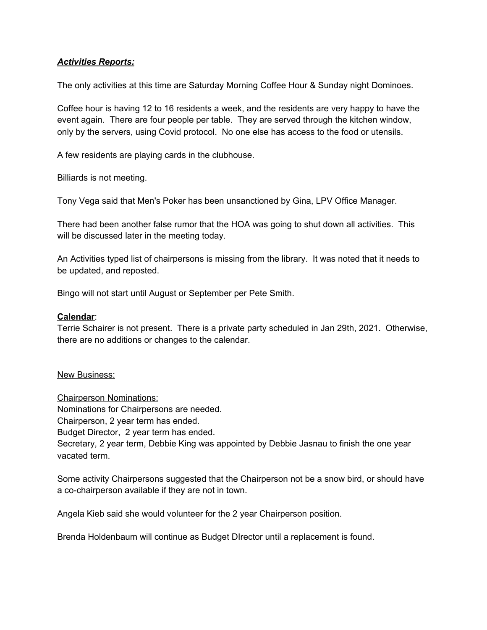## *Activities Reports:*

The only activities at this time are Saturday Morning Coffee Hour & Sunday night Dominoes.

Coffee hour is having 12 to 16 residents a week, and the residents are very happy to have the event again. There are four people per table. They are served through the kitchen window, only by the servers, using Covid protocol. No one else has access to the food or utensils.

A few residents are playing cards in the clubhouse.

Billiards is not meeting.

Tony Vega said that Men's Poker has been unsanctioned by Gina, LPV Office Manager.

There had been another false rumor that the HOA was going to shut down all activities. This will be discussed later in the meeting today.

An Activities typed list of chairpersons is missing from the library. It was noted that it needs to be updated, and reposted.

Bingo will not start until August or September per Pete Smith.

#### **Calendar**:

Terrie Schairer is not present. There is a private party scheduled in Jan 29th, 2021. Otherwise, there are no additions or changes to the calendar.

#### New Business:

Chairperson Nominations: Nominations for Chairpersons are needed. Chairperson, 2 year term has ended. Budget Director, 2 year term has ended. Secretary, 2 year term, Debbie King was appointed by Debbie Jasnau to finish the one year vacated term.

Some activity Chairpersons suggested that the Chairperson not be a snow bird, or should have a co-chairperson available if they are not in town.

Angela Kieb said she would volunteer for the 2 year Chairperson position.

Brenda Holdenbaum will continue as Budget DIrector until a replacement is found.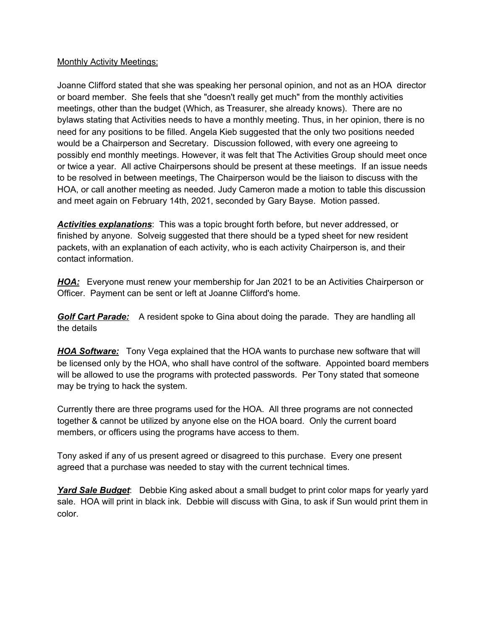### Monthly Activity Meetings:

Joanne Clifford stated that she was speaking her personal opinion, and not as an HOA director or board member. She feels that she "doesn't really get much" from the monthly activities meetings, other than the budget (Which, as Treasurer, she already knows). There are no bylaws stating that Activities needs to have a monthly meeting. Thus, in her opinion, there is no need for any positions to be filled. Angela Kieb suggested that the only two positions needed would be a Chairperson and Secretary. Discussion followed, with every one agreeing to possibly end monthly meetings. However, it was felt that The Activities Group should meet once or twice a year. All active Chairpersons should be present at these meetings. If an issue needs to be resolved in between meetings, The Chairperson would be the liaison to discuss with the HOA, or call another meeting as needed. Judy Cameron made a motion to table this discussion and meet again on February 14th, 2021, seconded by Gary Bayse. Motion passed.

*Activities explanations*: This was a topic brought forth before, but never addressed, or finished by anyone. Solveig suggested that there should be a typed sheet for new resident packets, with an explanation of each activity, who is each activity Chairperson is, and their contact information.

*HOA:* Everyone must renew your membership for Jan 2021 to be an Activities Chairperson or Officer. Payment can be sent or left at Joanne Clifford's home.

*Golf Cart Parade:* A resident spoke to Gina about doing the parade. They are handling all the details

*HOA Software:* Tony Vega explained that the HOA wants to purchase new software that will be licensed only by the HOA, who shall have control of the software. Appointed board members will be allowed to use the programs with protected passwords. Per Tony stated that someone may be trying to hack the system.

Currently there are three programs used for the HOA. All three programs are not connected together & cannot be utilized by anyone else on the HOA board. Only the current board members, or officers using the programs have access to them.

Tony asked if any of us present agreed or disagreed to this purchase. Every one present agreed that a purchase was needed to stay with the current technical times.

*Yard Sale Budget*: Debbie King asked about a small budget to print color maps for yearly yard sale. HOA will print in black ink. Debbie will discuss with Gina, to ask if Sun would print them in color.